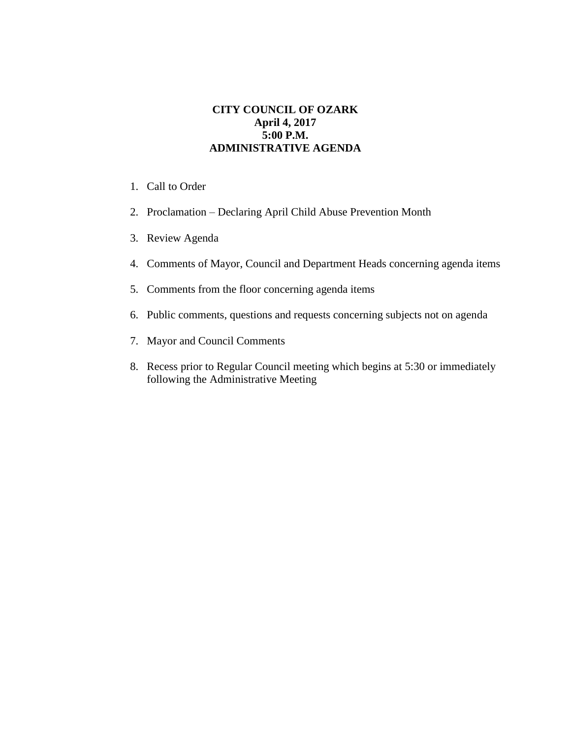## **CITY COUNCIL OF OZARK April 4, 2017 5:00 P.M. ADMINISTRATIVE AGENDA**

- 1. Call to Order
- 2. Proclamation Declaring April Child Abuse Prevention Month
- 3. Review Agenda
- 4. Comments of Mayor, Council and Department Heads concerning agenda items
- 5. Comments from the floor concerning agenda items
- 6. Public comments, questions and requests concerning subjects not on agenda
- 7. Mayor and Council Comments
- 8. Recess prior to Regular Council meeting which begins at 5:30 or immediately following the Administrative Meeting